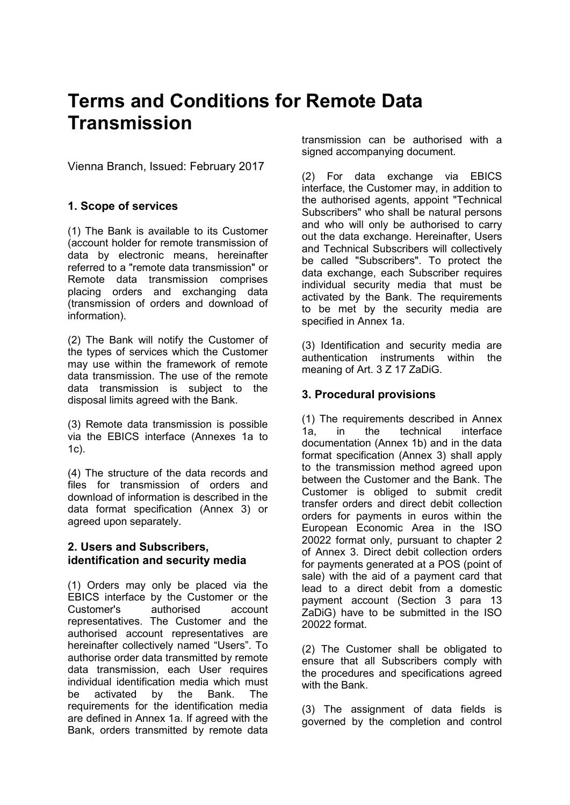# **Terms and Conditions for Remote Data Transmission**

Vienna Branch, Issued: February 2017

# **1. Scope of services**

(1) The Bank is available to its Customer (account holder for remote transmission of data by electronic means, hereinafter referred to a "remote data transmission" or Remote data transmission comprises placing orders and exchanging data (transmission of orders and download of information).

(2) The Bank will notify the Customer of the types of services which the Customer may use within the framework of remote data transmission. The use of the remote data transmission is subject to the disposal limits agreed with the Bank.

(3) Remote data transmission is possible via the EBICS interface (Annexes 1a to 1c).

(4) The structure of the data records and files for transmission of orders and download of information is described in the data format specification (Annex 3) or agreed upon separately.

## **2. Users and Subscribers, identification and security media**

(1) Orders may only be placed via the EBICS interface by the Customer or the Customer's authorised account representatives. The Customer and the authorised account representatives are hereinafter collectively named "Users". To authorise order data transmitted by remote data transmission, each User requires individual identification media which must be activated by the Bank. The requirements for the identification media are defined in Annex 1a. If agreed with the Bank, orders transmitted by remote data transmission can be authorised with a signed accompanying document.

(2) For data exchange via EBICS interface, the Customer may, in addition to the authorised agents, appoint "Technical Subscribers" who shall be natural persons and who will only be authorised to carry out the data exchange. Hereinafter, Users and Technical Subscribers will collectively be called "Subscribers". To protect the data exchange, each Subscriber requires individual security media that must be activated by the Bank. The requirements to be met by the security media are specified in Annex 1a.

(3) Identification and security media are authentication instruments within the meaning of Art. 3 Z 17 ZaDiG.

# **3. Procedural provisions**

(1) The requirements described in Annex 1a, in the technical interface documentation (Annex 1b) and in the data format specification (Annex 3) shall apply to the transmission method agreed upon between the Customer and the Bank. The Customer is obliged to submit credit transfer orders and direct debit collection orders for payments in euros within the European Economic Area in the ISO 20022 format only, pursuant to chapter 2 of Annex 3. Direct debit collection orders for payments generated at a POS (point of sale) with the aid of a payment card that lead to a direct debit from a domestic payment account (Section 3 para 13 ZaDiG) have to be submitted in the ISO 20022 format.

(2) The Customer shall be obligated to ensure that all Subscribers comply with the procedures and specifications agreed with the Bank.

(3) The assignment of data fields is governed by the completion and control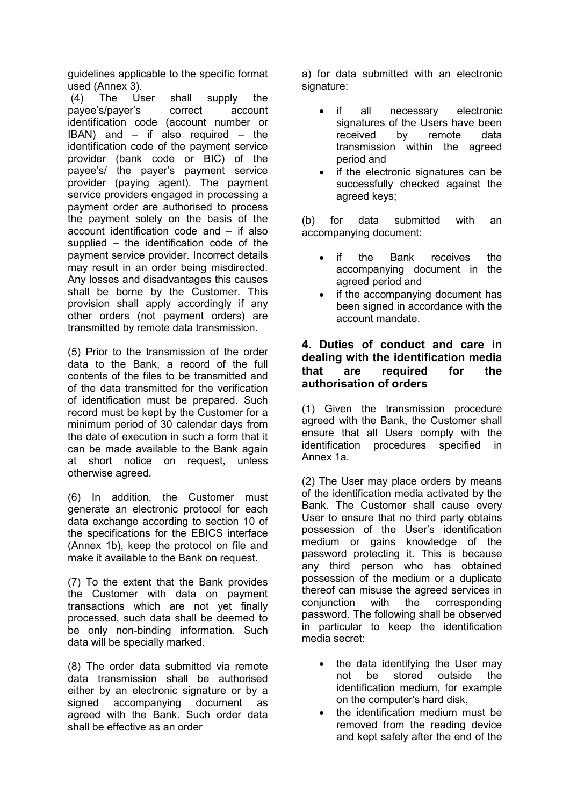guidelines applicable to the specific format used (Annex 3).

(4) The User shall supply the payee's/payer's correct account identification code (account number or IBAN) and  $-$  if also required  $-$  the identification code of the payment service provider (bank code or BIC) of the payee's/ the payer's payment service provider (paying agent). The payment service providers engaged in processing a payment order are authorised to process the payment solely on the basis of the account identification code and – if also supplied – the identification code of the payment service provider. Incorrect details may result in an order being misdirected. Any losses and disadvantages this causes shall be borne by the Customer. This provision shall apply accordingly if any other orders (not payment orders) are transmitted by remote data transmission.

(5) Prior to the transmission of the order data to the Bank, a record of the full contents of the files to be transmitted and of the data transmitted for the verification of identification must be prepared. Such record must be kept by the Customer for a minimum period of 30 calendar days from the date of execution in such a form that it can be made available to the Bank again at short notice on request, unless otherwise agreed.

(6) In addition, the Customer must generate an electronic protocol for each data exchange according to section 10 of the specifications for the EBICS interface (Annex 1b), keep the protocol on file and make it available to the Bank on request.

(7) To the extent that the Bank provides the Customer with data on payment transactions which are not yet finally processed, such data shall be deemed to be only non-binding information. Such data will be specially marked.

(8) The order data submitted via remote data transmission shall be authorised either by an electronic signature or by a signed accompanying document as agreed with the Bank. Such order data shall be effective as an order

a) for data submitted with an electronic signature:

- if all necessary electronic signatures of the Users have been received by remote data transmission within the agreed period and
- if the electronic signatures can be successfully checked against the agreed keys;

(b) for data submitted with an accompanying document:

- if the Bank receives the accompanying document in the agreed period and
- if the accompanying document has been signed in accordance with the account mandate.

## **4. Duties of conduct and care in dealing with the identification media that are required for the authorisation of orders**

(1) Given the transmission procedure agreed with the Bank, the Customer shall ensure that all Users comply with the identification procedures specified in Annex 1a.

(2) The User may place orders by means of the identification media activated by the Bank. The Customer shall cause every User to ensure that no third party obtains possession of the User's identification medium or gains knowledge of the password protecting it. This is because any third person who has obtained possession of the medium or a duplicate thereof can misuse the agreed services in conjunction with the corresponding password. The following shall be observed in particular to keep the identification media secret:

- the data identifying the User may not be stored outside the identification medium, for example on the computer's hard disk,
- the identification medium must be removed from the reading device and kept safely after the end of the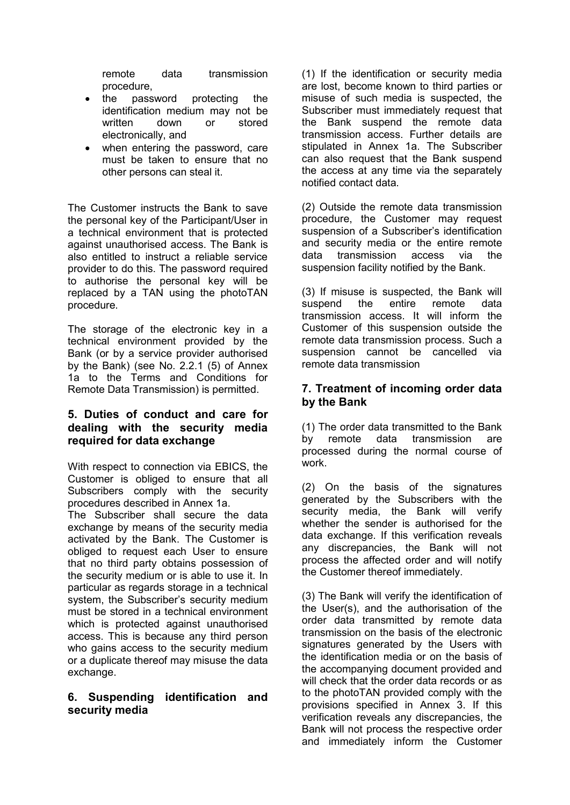remote data transmission procedure,

- the password protecting the identification medium may not be written down or stored electronically, and
- when entering the password, care must be taken to ensure that no other persons can steal it.

The Customer instructs the Bank to save the personal key of the Participant/User in a technical environment that is protected against unauthorised access. The Bank is also entitled to instruct a reliable service provider to do this. The password required to authorise the personal key will be replaced by a TAN using the photoTAN procedure.

The storage of the electronic key in a technical environment provided by the Bank (or by a service provider authorised by the Bank) (see No. 2.2.1 (5) of Annex 1a to the Terms and Conditions for Remote Data Transmission) is permitted.

## **5. Duties of conduct and care for dealing with the security media required for data exchange**

With respect to connection via EBICS, the Customer is obliged to ensure that all Subscribers comply with the security procedures described in Annex 1a.

The Subscriber shall secure the data exchange by means of the security media activated by the Bank. The Customer is obliged to request each User to ensure that no third party obtains possession of the security medium or is able to use it. In particular as regards storage in a technical system, the Subscriber's security medium must be stored in a technical environment which is protected against unauthorised access. This is because any third person who gains access to the security medium or a duplicate thereof may misuse the data exchange.

## **6. Suspending identification and security media**

(1) If the identification or security media are lost, become known to third parties or misuse of such media is suspected, the Subscriber must immediately request that the Bank suspend the remote data transmission access. Further details are stipulated in Annex 1a. The Subscriber can also request that the Bank suspend the access at any time via the separately notified contact data.

(2) Outside the remote data transmission procedure, the Customer may request suspension of a Subscriber's identification and security media or the entire remote data transmission access via the suspension facility notified by the Bank.

(3) If misuse is suspected, the Bank will suspend the entire remote data transmission access. It will inform the Customer of this suspension outside the remote data transmission process. Such a suspension cannot be cancelled via remote data transmission

## **7. Treatment of incoming order data by the Bank**

(1) The order data transmitted to the Bank by remote data transmission are processed during the normal course of work.

(2) On the basis of the signatures generated by the Subscribers with the security media, the Bank will verify whether the sender is authorised for the data exchange. If this verification reveals any discrepancies, the Bank will not process the affected order and will notify the Customer thereof immediately.

(3) The Bank will verify the identification of the User(s), and the authorisation of the order data transmitted by remote data transmission on the basis of the electronic signatures generated by the Users with the identification media or on the basis of the accompanying document provided and will check that the order data records or as to the photoTAN provided comply with the provisions specified in Annex 3. If this verification reveals any discrepancies, the Bank will not process the respective order and immediately inform the Customer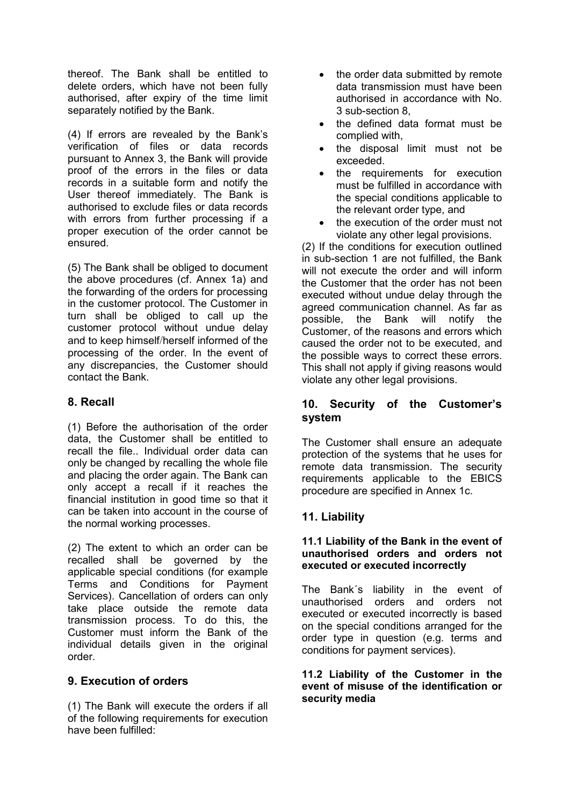thereof. The Bank shall be entitled to delete orders, which have not been fully authorised, after expiry of the time limit separately notified by the Bank.

(4) If errors are revealed by the Bank's verification of files or data records pursuant to Annex 3, the Bank will provide proof of the errors in the files or data records in a suitable form and notify the User thereof immediately. The Bank is authorised to exclude files or data records with errors from further processing if a proper execution of the order cannot be ensured.

(5) The Bank shall be obliged to document the above procedures (cf. Annex 1a) and the forwarding of the orders for processing in the customer protocol. The Customer in turn shall be obliged to call up the customer protocol without undue delay and to keep himself/herself informed of the processing of the order. In the event of any discrepancies, the Customer should contact the Bank.

# **8. Recall**

(1) Before the authorisation of the order data, the Customer shall be entitled to recall the file.. Individual order data can only be changed by recalling the whole file and placing the order again. The Bank can only accept a recall if it reaches the financial institution in good time so that it can be taken into account in the course of the normal working processes.

(2) The extent to which an order can be recalled shall be governed by the applicable special conditions (for example Terms and Conditions for Payment Services). Cancellation of orders can only take place outside the remote data transmission process. To do this, the Customer must inform the Bank of the individual details given in the original order.

# **9. Execution of orders**

(1) The Bank will execute the orders if all of the following requirements for execution have been fulfilled:

- the order data submitted by remote data transmission must have been authorised in accordance with No. 3 sub-section 8,
- the defined data format must be complied with,
- the disposal limit must not be exceeded.
- the requirements for execution must be fulfilled in accordance with the special conditions applicable to the relevant order type, and
- the execution of the order must not violate any other legal provisions.

(2) If the conditions for execution outlined in sub-section 1 are not fulfilled, the Bank will not execute the order and will inform the Customer that the order has not been executed without undue delay through the agreed communication channel. As far as possible, the Bank will notify the Customer, of the reasons and errors which caused the order not to be executed, and the possible ways to correct these errors. This shall not apply if giving reasons would violate any other legal provisions.

## **10. Security of the Customer's system**

The Customer shall ensure an adequate protection of the systems that he uses for remote data transmission. The security requirements applicable to the EBICS procedure are specified in Annex 1c.

# **11. Liability**

#### **11.1 Liability of the Bank in the event of unauthorised orders and orders not executed or executed incorrectly**

The Bank´s liability in the event of unauthorised orders and orders not executed or executed incorrectly is based on the special conditions arranged for the order type in question (e.g. terms and conditions for payment services).

**11.2 Liability of the Customer in the event of misuse of the identification or security media**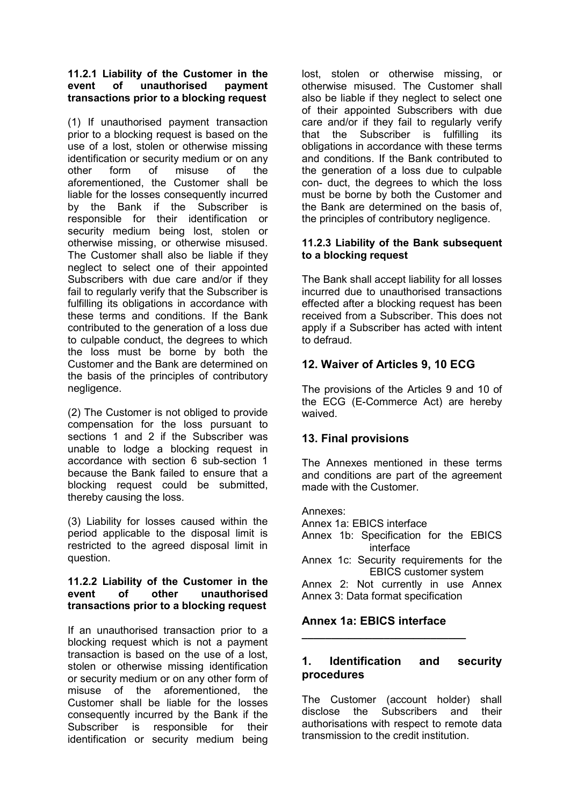#### **11.2.1 Liability of the Customer in the event of unauthorised payment transactions prior to a blocking request**

(1) If unauthorised payment transaction prior to a blocking request is based on the use of a lost, stolen or otherwise missing identification or security medium or on any other form of misuse of the aforementioned, the Customer shall be liable for the losses consequently incurred by the Bank if the Subscriber is responsible for their identification or security medium being lost, stolen or otherwise missing, or otherwise misused. The Customer shall also be liable if they neglect to select one of their appointed Subscribers with due care and/or if they fail to regularly verify that the Subscriber is fulfilling its obligations in accordance with these terms and conditions. If the Bank contributed to the generation of a loss due to culpable conduct, the degrees to which the loss must be borne by both the Customer and the Bank are determined on the basis of the principles of contributory negligence.

(2) The Customer is not obliged to provide compensation for the loss pursuant to sections 1 and 2 if the Subscriber was unable to lodge a blocking request in accordance with section 6 sub-section 1 because the Bank failed to ensure that a blocking request could be submitted, thereby causing the loss.

(3) Liability for losses caused within the period applicable to the disposal limit is restricted to the agreed disposal limit in question.

#### **11.2.2 Liability of the Customer in the event of other unauthorised transactions prior to a blocking request**

If an unauthorised transaction prior to a blocking request which is not a payment transaction is based on the use of a lost, stolen or otherwise missing identification or security medium or on any other form of misuse of the aforementioned, the Customer shall be liable for the losses consequently incurred by the Bank if the Subscriber is responsible for their identification or security medium being lost, stolen or otherwise missing, or otherwise misused. The Customer shall also be liable if they neglect to select one of their appointed Subscribers with due care and/or if they fail to regularly verify that the Subscriber is fulfilling its obligations in accordance with these terms and conditions. If the Bank contributed to the generation of a loss due to culpable con- duct, the degrees to which the loss must be borne by both the Customer and the Bank are determined on the basis of, the principles of contributory negligence.

#### **11.2.3 Liability of the Bank subsequent to a blocking request**

The Bank shall accept liability for all losses incurred due to unauthorised transactions effected after a blocking request has been received from a Subscriber. This does not apply if a Subscriber has acted with intent to defraud.

# **12. Waiver of Articles 9, 10 ECG**

The provisions of the Articles 9 and 10 of the ECG (E-Commerce Act) are hereby waived.

# **13. Final provisions**

The Annexes mentioned in these terms and conditions are part of the agreement made with the Customer.

Annexes: Annex 1a: EBICS interface Annex 1b: Specification for the EBICS interface

Annex 1c: Security requirements for the EBICS customer system

Annex 2: Not currently in use Annex Annex 3: Data format specification

# **Annex 1a: EBICS interface**

**\_\_\_\_\_\_\_\_\_\_\_\_\_\_\_\_\_\_\_\_\_\_\_\_\_\_\_\_**

# **1. Identification and security procedures**

The Customer (account holder) shall disclose the Subscribers and their authorisations with respect to remote data transmission to the credit institution.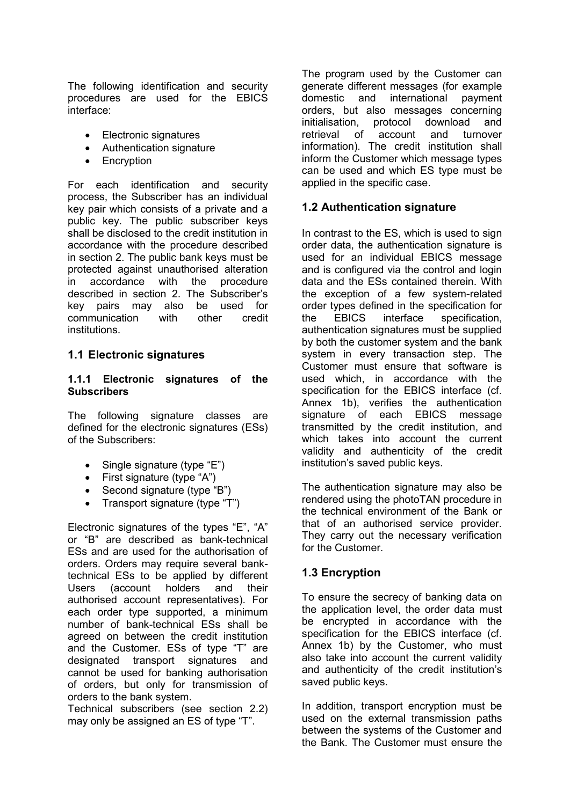The following identification and security procedures are used for the EBICS interface:

- Electronic signatures
- Authentication signature
- Encryption

For each identification and security process, the Subscriber has an individual key pair which consists of a private and a public key. The public subscriber keys shall be disclosed to the credit institution in accordance with the procedure described in section 2. The public bank keys must be protected against unauthorised alteration in accordance with the procedure described in section 2. The Subscriber's key pairs may also be used for communication with other credit institutions.

# **1.1 Electronic signatures**

#### **1.1.1 Electronic signatures of the Subscribers**

The following signature classes are defined for the electronic signatures (ESs) of the Subscribers:

- Single signature (type "E")
- First signature (type "A")
- Second signature (type "B")
- Transport signature (type "T")

Electronic signatures of the types "E", "A" or "B" are described as bank-technical ESs and are used for the authorisation of orders. Orders may require several banktechnical ESs to be applied by different Users (account holders and their authorised account representatives). For each order type supported, a minimum number of bank-technical ESs shall be agreed on between the credit institution and the Customer. ESs of type "T" are designated transport signatures and cannot be used for banking authorisation of orders, but only for transmission of orders to the bank system.

Technical subscribers (see section 2.2) may only be assigned an ES of type "T".

The program used by the Customer can generate different messages (for example domestic and international payment orders, but also messages concerning initialisation, protocol download and retrieval of account and turnover information). The credit institution shall inform the Customer which message types can be used and which ES type must be applied in the specific case.

# **1.2 Authentication signature**

In contrast to the ES, which is used to sign order data, the authentication signature is used for an individual EBICS message and is configured via the control and login data and the ESs contained therein. With the exception of a few system-related order types defined in the specification for the EBICS interface specification, authentication signatures must be supplied by both the customer system and the bank system in every transaction step. The Customer must ensure that software is used which, in accordance with the specification for the EBICS interface (cf. Annex 1b), verifies the authentication signature of each EBICS message transmitted by the credit institution, and which takes into account the current validity and authenticity of the credit institution's saved public keys.

The authentication signature may also be rendered using the photoTAN procedure in the technical environment of the Bank or that of an authorised service provider. They carry out the necessary verification for the Customer.

# **1.3 Encryption**

To ensure the secrecy of banking data on the application level, the order data must be encrypted in accordance with the specification for the EBICS interface (cf. Annex 1b) by the Customer, who must also take into account the current validity and authenticity of the credit institution's saved public keys.

In addition, transport encryption must be used on the external transmission paths between the systems of the Customer and the Bank. The Customer must ensure the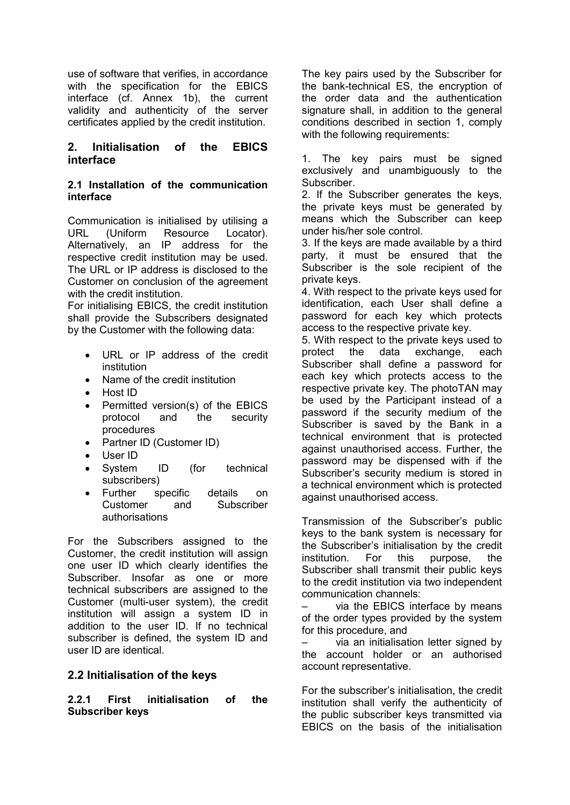use of software that verifies, in accordance with the specification for the EBICS interface (cf. Annex 1b), the current validity and authenticity of the server certificates applied by the credit institution.

## **2. Initialisation of the EBICS interface**

#### **2.1 Installation of the communication interface**

Communication is initialised by utilising a URL (Uniform Resource Locator). Alternatively, an IP address for the respective credit institution may be used. The URL or IP address is disclosed to the Customer on conclusion of the agreement with the credit institution.

For initialising EBICS, the credit institution shall provide the Subscribers designated by the Customer with the following data:

- URL or IP address of the credit institution
- Name of the credit institution
- Host ID
- Permitted version(s) of the EBICS protocol and the security procedures
- Partner ID (Customer ID)
- User ID
- System ID (for technical subscribers)
- Further specific details on Customer and Subscriber authorisations

For the Subscribers assigned to the Customer, the credit institution will assign one user ID which clearly identifies the Subscriber. Insofar as one or more technical subscribers are assigned to the Customer (multi-user system), the credit institution will assign a system ID in addition to the user ID. If no technical subscriber is defined, the system ID and user ID are identical.

# **2.2 Initialisation of the keys**

**2.2.1 First initialisation of the Subscriber keys**

The key pairs used by the Subscriber for the bank-technical ES, the encryption of the order data and the authentication signature shall, in addition to the general conditions described in section 1, comply with the following requirements:

1. The key pairs must be signed exclusively and unambiguously to the Subscriber.

2. If the Subscriber generates the keys, the private keys must be generated by means which the Subscriber can keep under his/her sole control.

3. If the keys are made available by a third party, it must be ensured that the Subscriber is the sole recipient of the private keys.

4. With respect to the private keys used for identification, each User shall define a password for each key which protects access to the respective private key.

5. With respect to the private keys used to protect the data exchange, each Subscriber shall define a password for each key which protects access to the respective private key. The photoTAN may be used by the Participant instead of a password if the security medium of the Subscriber is saved by the Bank in a technical environment that is protected against unauthorised access. Further, the password may be dispensed with if the Subscriber's security medium is stored in a technical environment which is protected against unauthorised access.

Transmission of the Subscriber's public keys to the bank system is necessary for the Subscriber's initialisation by the credit institution. For this purpose, the Subscriber shall transmit their public keys to the credit institution via two independent communication channels:

via the EBICS interface by means of the order types provided by the system for this procedure, and

via an initialisation letter signed by the account holder or an authorised account representative.

For the subscriber's initialisation, the credit institution shall verify the authenticity of the public subscriber keys transmitted via EBICS on the basis of the initialisation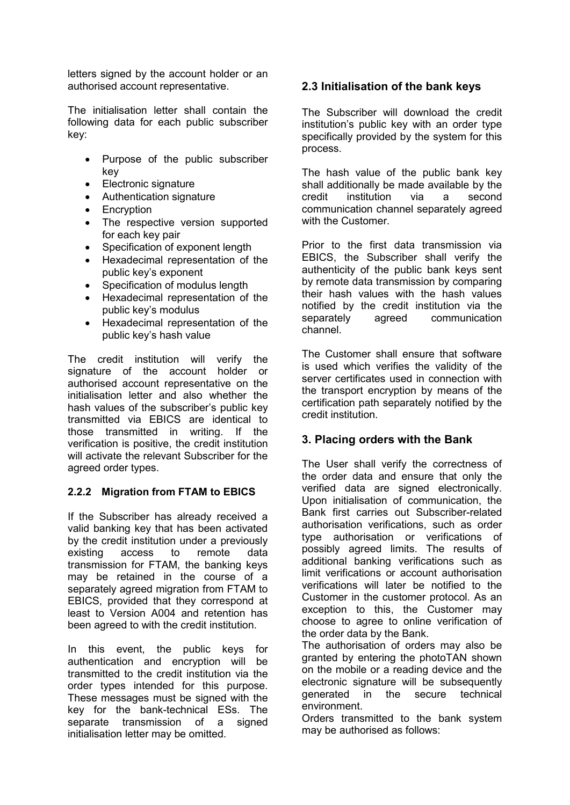letters signed by the account holder or an authorised account representative.

The initialisation letter shall contain the following data for each public subscriber key:

- Purpose of the public subscriber key
- Electronic signature
- Authentication signature
- Encryption
- The respective version supported for each key pair
- Specification of exponent length
- Hexadecimal representation of the public key's exponent
- Specification of modulus length
- Hexadecimal representation of the public key's modulus
- Hexadecimal representation of the public key's hash value

The credit institution will verify the signature of the account holder or authorised account representative on the initialisation letter and also whether the hash values of the subscriber's public key transmitted via EBICS are identical to those transmitted in writing. If the verification is positive, the credit institution will activate the relevant Subscriber for the agreed order types.

## **2.2.2 Migration from FTAM to EBICS**

If the Subscriber has already received a valid banking key that has been activated by the credit institution under a previously existing access to remote data transmission for FTAM, the banking keys may be retained in the course of a separately agreed migration from FTAM to EBICS, provided that they correspond at least to Version A004 and retention has been agreed to with the credit institution.

In this event, the public keys for authentication and encryption will be transmitted to the credit institution via the order types intended for this purpose. These messages must be signed with the key for the bank-technical ESs. The separate transmission of a signed initialisation letter may be omitted.

# **2.3 Initialisation of the bank keys**

The Subscriber will download the credit institution's public key with an order type specifically provided by the system for this process.

The hash value of the public bank key shall additionally be made available by the credit institution via a second communication channel separately agreed with the Customer.

Prior to the first data transmission via EBICS, the Subscriber shall verify the authenticity of the public bank keys sent by remote data transmission by comparing their hash values with the hash values notified by the credit institution via the separately agreed communication channel.

The Customer shall ensure that software is used which verifies the validity of the server certificates used in connection with the transport encryption by means of the certification path separately notified by the credit institution.

## **3. Placing orders with the Bank**

The User shall verify the correctness of the order data and ensure that only the verified data are signed electronically. Upon initialisation of communication, the Bank first carries out Subscriber-related authorisation verifications, such as order type authorisation or verifications of possibly agreed limits. The results of additional banking verifications such as limit verifications or account authorisation verifications will later be notified to the Customer in the customer protocol. As an exception to this, the Customer may choose to agree to online verification of the order data by the Bank.

The authorisation of orders may also be granted by entering the photoTAN shown on the mobile or a reading device and the electronic signature will be subsequently generated in the secure technical environment.

Orders transmitted to the bank system may be authorised as follows: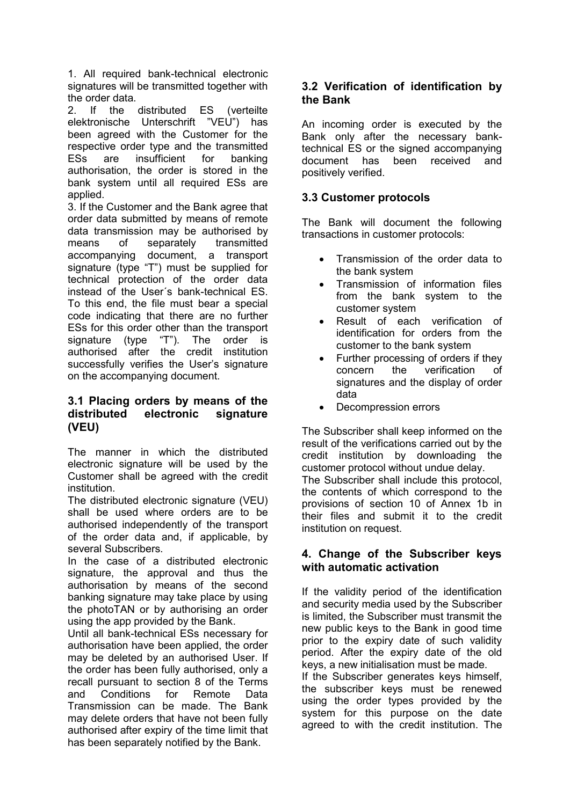1. All required bank-technical electronic signatures will be transmitted together with the order data.

2. If the distributed ES (verteilte elektronische Unterschrift "VEU") has been agreed with the Customer for the respective order type and the transmitted ESs are insufficient for banking authorisation, the order is stored in the bank system until all required ESs are applied.

3. If the Customer and the Bank agree that order data submitted by means of remote data transmission may be authorised by means of separately transmitted accompanying document, a transport signature (type "T") must be supplied for technical protection of the order data instead of the User´s bank-technical ES. To this end, the file must bear a special code indicating that there are no further ESs for this order other than the transport signature (type "T"). The order is authorised after the credit institution successfully verifies the User's signature on the accompanying document.

## **3.1 Placing orders by means of the distributed electronic signature (VEU)**

The manner in which the distributed electronic signature will be used by the Customer shall be agreed with the credit institution.

The distributed electronic signature (VEU) shall be used where orders are to be authorised independently of the transport of the order data and, if applicable, by several Subscribers.

In the case of a distributed electronic signature, the approval and thus the authorisation by means of the second banking signature may take place by using the photoTAN or by authorising an order using the app provided by the Bank.

Until all bank-technical ESs necessary for authorisation have been applied, the order may be deleted by an authorised User. If the order has been fully authorised, only a recall pursuant to section 8 of the Terms and Conditions for Remote Data Transmission can be made. The Bank may delete orders that have not been fully authorised after expiry of the time limit that has been separately notified by the Bank.

# **3.2 Verification of identification by the Bank**

An incoming order is executed by the Bank only after the necessary banktechnical ES or the signed accompanying document has been received and positively verified.

## **3.3 Customer protocols**

The Bank will document the following transactions in customer protocols:

- Transmission of the order data to the bank system
- Transmission of information files from the bank system to the customer system
- Result of each verification of identification for orders from the customer to the bank system
- Further processing of orders if they concern the verification of signatures and the display of order data
- Decompression errors

The Subscriber shall keep informed on the result of the verifications carried out by the credit institution by downloading the customer protocol without undue delay.

The Subscriber shall include this protocol, the contents of which correspond to the provisions of section 10 of Annex 1b in their files and submit it to the credit institution on request.

## **4. Change of the Subscriber keys with automatic activation**

If the validity period of the identification and security media used by the Subscriber is limited, the Subscriber must transmit the new public keys to the Bank in good time prior to the expiry date of such validity period. After the expiry date of the old keys, a new initialisation must be made. If the Subscriber generates keys himself, the subscriber keys must be renewed using the order types provided by the system for this purpose on the date agreed to with the credit institution. The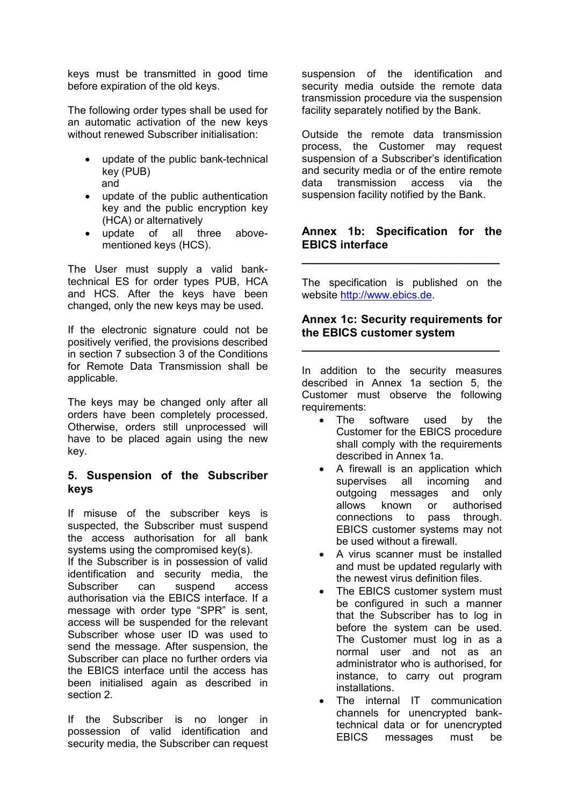keys must be transmitted in good time before expiration of the old keys.

The following order types shall be used for an automatic activation of the new keys without renewed Subscriber initialisation:

- update of the public bank-technical key (PUB) and
- update of the public authentication key and the public encryption key (HCA) or alternatively
- update of all three abovementioned keys (HCS).

The User must supply a valid banktechnical ES for order types PUB, HCA and HCS. After the keys have been changed, only the new keys may be used.

If the electronic signature could not be positively verified, the provisions described in section 7 subsection 3 of the Conditions for Remote Data Transmission shall be applicable.

The keys may be changed only after all orders have been completely processed. Otherwise, orders still unprocessed will have to be placed again using the new key.

## **5. Suspension of the Subscriber keys**

If misuse of the subscriber keys is suspected, the Subscriber must suspend the access authorisation for all bank systems using the compromised key(s). If the Subscriber is in possession of valid identification and security media, the Subscriber can suspend access authorisation via the EBICS interface. If a message with order type "SPR" is sent, access will be suspended for the relevant Subscriber whose user ID was used to send the message. After suspension, the Subscriber can place no further orders via the EBICS interface until the access has been initialised again as described in section 2.

If the Subscriber is no longer in possession of valid identification and security media, the Subscriber can request

suspension of the identification and security media outside the remote data transmission procedure via the suspension facility separately notified by the Bank.

Outside the remote data transmission process, the Customer may request suspension of a Subscriber's identification and security media or of the entire remote data transmission access via the suspension facility notified by the Bank.

## **Annex 1b: Specification for the EBICS interface**

**\_\_\_\_\_\_\_\_\_\_\_\_\_\_\_\_\_\_\_\_\_\_\_\_\_\_\_\_\_\_\_**

The specification is published on the website [http://www.ebics.de.](http://www.ebics.de/)

## **Annex 1c: Security requirements for the EBICS customer system**

**\_\_\_\_\_\_\_\_\_\_\_\_\_\_\_\_\_\_\_\_\_\_\_\_\_\_\_\_\_\_\_**

In addition to the security measures described in Annex 1a section 5, the Customer must observe the following requirements:

- The software used by the Customer for the EBICS procedure shall comply with the requirements described in Annex 1a.
- A firewall is an application which supervises all incoming and outgoing messages and only allows known or authorised connections to pass through. EBICS customer systems may not be used without a firewall.
- A virus scanner must be installed and must be updated regularly with the newest virus definition files.
- The EBICS customer system must be configured in such a manner that the Subscriber has to log in before the system can be used. The Customer must log in as a normal user and not as an administrator who is authorised, for instance, to carry out program installations.
- The internal IT communication channels for unencrypted banktechnical data or for unencrypted EBICS messages must be